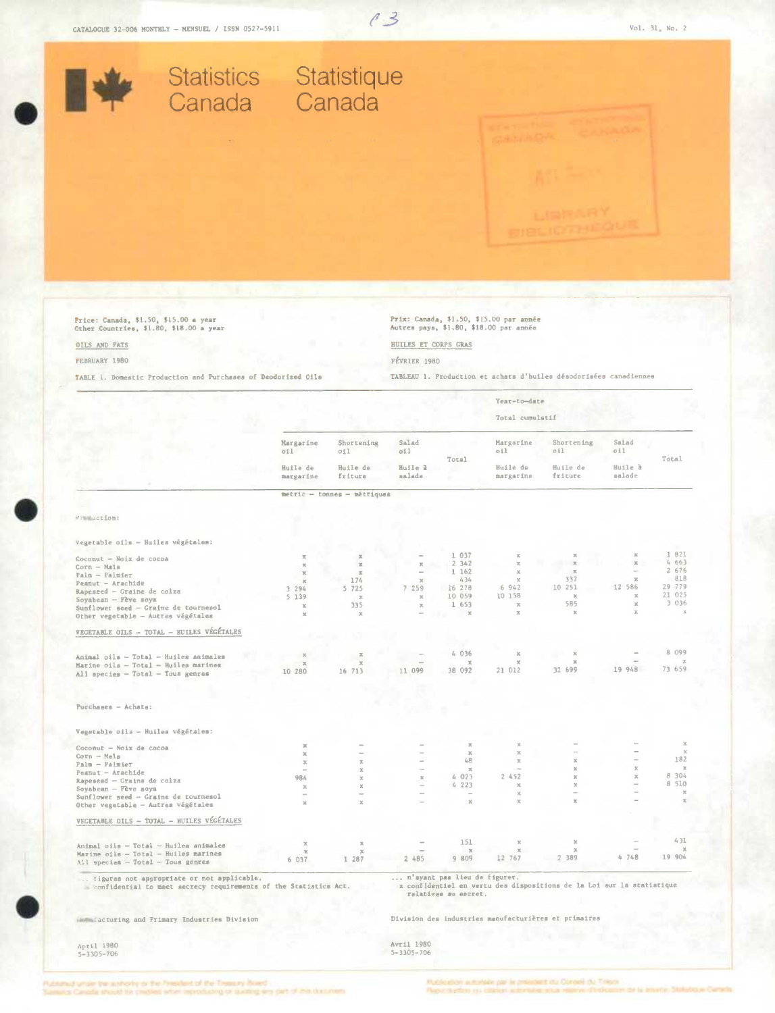

FEBRUARY 1980

FÉVRIER 1980

TABLEAU 1. Production et achats d'huiles désodorisées canadiennes TABLE 1. Domestic Production and Purchases of Deodorized Oils

|                                                                                                                  |                        |                             |                                                      |                                                      | Year-to-date             |                                                                       |                   |                                    |  |
|------------------------------------------------------------------------------------------------------------------|------------------------|-----------------------------|------------------------------------------------------|------------------------------------------------------|--------------------------|-----------------------------------------------------------------------|-------------------|------------------------------------|--|
|                                                                                                                  |                        |                             |                                                      |                                                      | Total cumulatif          |                                                                       |                   |                                    |  |
|                                                                                                                  | Margarine<br>oil       | Shortening<br>oil           | Salad<br>oil                                         | Total                                                | Margarine<br>oil         | Shortening<br>oil                                                     | Salad<br>oil      | Total                              |  |
|                                                                                                                  | Huile de<br>margarine  | Huile de<br>friture         | Huile à<br>salade                                    |                                                      | Huile de<br>margarine    | Huile de<br>friture                                                   | Huile à<br>salade |                                    |  |
|                                                                                                                  |                        | metric - tonnes - métriques |                                                      |                                                      |                          |                                                                       |                   |                                    |  |
|                                                                                                                  |                        |                             |                                                      |                                                      |                          |                                                                       |                   |                                    |  |
| Franction:                                                                                                       |                        |                             |                                                      |                                                      |                          |                                                                       |                   |                                    |  |
| Vegetable oils - Huiles végétales:                                                                               |                        |                             |                                                      |                                                      |                          |                                                                       |                   |                                    |  |
|                                                                                                                  | $\mathbb{Z}$           | $\mathbb{Z}$                |                                                      | 1 037                                                | $\mathbf x$              | $\rm{X}$                                                              | $\mathbb{Z}$      | 1 821                              |  |
| Coconut - Noix de cocoa<br>Corn - Mals                                                                           | $\mathbb X$            | $\mathbb{R}$                | х                                                    | 2 342                                                | $\mathcal{M}$            | $\mathbb{Z}$                                                          | $\mathbb{R}$      | 4 663                              |  |
| Palm - Palmier                                                                                                   | $\mathbb X$            | $\mathbf{x}$                |                                                      | 1 162                                                | $\rm X$                  | $\mathbbm{Z}$                                                         |                   | 2 676                              |  |
| Peanut - Arachide                                                                                                | $\mathbb{R}$           | 174                         | $\rm{X}$                                             | 434                                                  | $\chi$                   | 337                                                                   | $\mathbb{R}$      | 818                                |  |
| Rapeseed - Graine de colza                                                                                       | 3 294                  | 5 725                       | 7 259                                                | 16 278                                               | 6 9 4 2                  | 10 251                                                                | 12 586            | 29 779                             |  |
| Soyabean - Fève soya                                                                                             | 5 139                  | $\mathbb{Z}$                | $\mathbf x$                                          | 10 059                                               | 10 158                   | $\mathcal{R}$                                                         | $\mathbb X$       | 21 025                             |  |
| Sunflower seed - Graine de tournesol                                                                             | $\mathbb{X}$           | 335                         | $\mathbb X$                                          | 1 653                                                | $\mathcal{R}$            | 585                                                                   | $\rm X$           | 3 0 3 6                            |  |
| Other vegetable - Autres végétales                                                                               | $\boldsymbol{\times}$  | $\mathbf{x}$                |                                                      | $\mathbf x$                                          | $\overline{\mathcal{H}}$ | $\mathbbm{K}$                                                         | $\mathbf{X}$      | $\boldsymbol{\times}$              |  |
| VEGETABLE OILS - TOTAL - HUILES VEGÉTALES                                                                        |                        |                             |                                                      |                                                      |                          |                                                                       |                   |                                    |  |
|                                                                                                                  |                        |                             |                                                      |                                                      |                          |                                                                       |                   | 8 0 9 9                            |  |
| Animal oils - Total - Huiles animales                                                                            | $\chi$                 | $\mathbbm{K}$               |                                                      | 4 0 3 6                                              | $\rm X$                  | $\rm X$                                                               |                   |                                    |  |
| Marine oila - Total - Huiles marines                                                                             | $\mathbbm{K}$          | $\overline{\kappa}$         | <b>Allen</b>                                         | $\propto$                                            | $\mathbf x$              | $\mathbf x$                                                           | 19 948            | $\overline{\mathcal{N}}$<br>73 659 |  |
| All species - Total - Tous genres                                                                                | 10 280                 | 16 713                      | 11 099                                               | 38 092                                               | 21 012                   | 32 699                                                                |                   |                                    |  |
|                                                                                                                  |                        |                             |                                                      |                                                      |                          |                                                                       |                   |                                    |  |
|                                                                                                                  |                        |                             |                                                      |                                                      |                          |                                                                       |                   |                                    |  |
| Purchases - Achata:                                                                                              |                        |                             |                                                      |                                                      |                          |                                                                       |                   |                                    |  |
| Vegetable oils - Huiles végétales:                                                                               |                        |                             |                                                      |                                                      |                          |                                                                       |                   |                                    |  |
| Coconut - Noix de cocoa                                                                                          | $\rm{X}$               | $\sim$                      |                                                      | $\mathbb{Z}$                                         | $\rm X$                  |                                                                       |                   | $\chi$                             |  |
| $Corn - Mail$                                                                                                    | $\mathbb X$            | ÷                           |                                                      | $\mathbf x$                                          | $\mathbf{x}$             |                                                                       |                   | $\mathbf{x}$<br>182                |  |
| Palm - Palmier                                                                                                   | $\chi$                 | $\overline{\Lambda}$        |                                                      | 48                                                   | $\mathbb R$<br>۰         | x                                                                     | $\chi$            | $\boldsymbol{\times}$              |  |
| Peanut - Arachide                                                                                                | <b>Allen</b>           | $\boldsymbol{\times}$       | $\sim$                                               | $\mathbb{R}$<br>4 023                                | 2452                     | $\chi$<br>$\mathcal{R}$                                               | $\mathbf x$       | 8 304                              |  |
| Rapeseed - Graine de colza                                                                                       | 984                    | $\chi$                      | $\mathbbm{K}$                                        | 4 223                                                | $\rm X$                  | $\mathbb X$                                                           |                   | 8 510                              |  |
| Soyabean - Fève soya                                                                                             | $\mathbf{x}$<br>$\sim$ | $\mathbb{X}$<br>$\sim$      | $\overline{\phantom{a}}$                             | $\sim$                                               | $\chi$                   | $\sim$                                                                |                   | $\boldsymbol{\Sigma}$              |  |
| Sunflower seed - Graine de tournesol                                                                             | $\chi$                 | $\mathbf x$                 | $\overline{\phantom{a}}$                             | $\mathbf{x}$                                         | $\mathbb X$              | $\mathbb{R}$                                                          |                   | $\mathbf{x}$                       |  |
| Other vegetable - Autres végétales                                                                               |                        |                             |                                                      |                                                      |                          |                                                                       |                   |                                    |  |
| VEGETABLE OILS - TOTAL - HUILES VÉGÉTALES                                                                        |                        |                             |                                                      |                                                      |                          |                                                                       |                   |                                    |  |
| Animal oils - Total - Huilea animales                                                                            | $\propto$              | $\mathbb{R}$                |                                                      | 151                                                  | $\boldsymbol{\times}$    | $\mathcal{M}$                                                         |                   | 431                                |  |
| Marine oils - Total - Huiles marines                                                                             | $\mathbf{x}$           | $\mathbb{R}$                |                                                      | $\boldsymbol{\times}$                                | $\mathbb X$              | $\mathbf{x}$                                                          | 4748              | $\chi$<br>19 904                   |  |
| All species - Total - Tous genres                                                                                | 6 037                  | 1 287                       | 2 485                                                | 9 809                                                | 12 767                   | 2 389                                                                 |                   |                                    |  |
| figures not appropriate or not applicable.<br>s confidential to meet secrecy requirements of the Statistics Act. |                        |                             |                                                      | n'syant pas lieu de figurer.<br>relatives au secret. |                          | x confidentiel en vertu des dispositions de la Loi eur la statistique |                   |                                    |  |
| immiacturing and Primary Industries Division                                                                     |                        |                             | Division des industries manufacturières et primaires |                                                      |                          |                                                                       |                   |                                    |  |
| April 1980                                                                                                       |                        |                             | Avril 1980                                           |                                                      |                          |                                                                       |                   |                                    |  |
| $5 - 3305 - 706$                                                                                                 |                        |                             | $5 - 3305 - 706$                                     |                                                      |                          |                                                                       |                   |                                    |  |

ed unser the authority of the President of the Tiessary Road